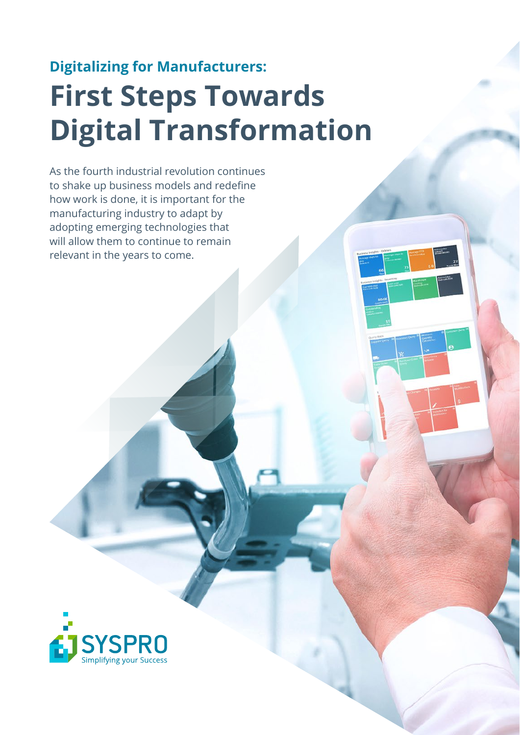### **Digitalizing for Manufacturers: First Steps Towards Digital Transformation**

As the fourth industrial revolution continues to shake up business models and redefine how work is done, it is important for the manufacturing industry to adapt by adopting emerging technologies that will allow them to continue to remain relevant in the years to come.

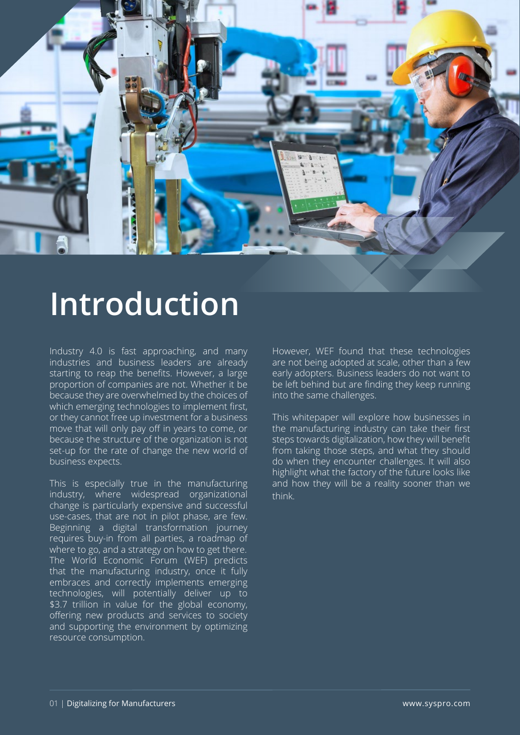

### **Introduction**

Industry 4.0 is fast approaching, and many industries and business leaders are already starting to reap the benefits. However, a large proportion of companies are not. Whether it be because they are overwhelmed by the choices of which emerging technologies to implement first, or they cannot free up investment for a business move that will only pay off in years to come, or because the structure of the organization is not set-up for the rate of change the new world of business expects.

This is especially true in the manufacturing industry, where widespread organizational change is particularly expensive and successful use-cases, that are not in pilot phase, are few. Beginning a digital transformation journey requires buy-in from all parties, a roadmap of where to go, and a strategy on how to get there. The World Economic Forum (WEF) predicts that the manufacturing industry, once it fully embraces and correctly implements emerging technologies, will potentially deliver up to \$3.7 trillion in value for the global economy, offering new products and services to society and supporting the environment by optimizing resource consumption.

However, WEF found that these technologies are not being adopted at scale, other than a few early adopters. Business leaders do not want to be left behind but are finding they keep running into the same challenges.

This whitepaper will explore how businesses in the manufacturing industry can take their first steps towards digitalization, how they will benefit from taking those steps, and what they should do when they encounter challenges. It will also highlight what the factory of the future looks like and how they will be a reality sooner than we think.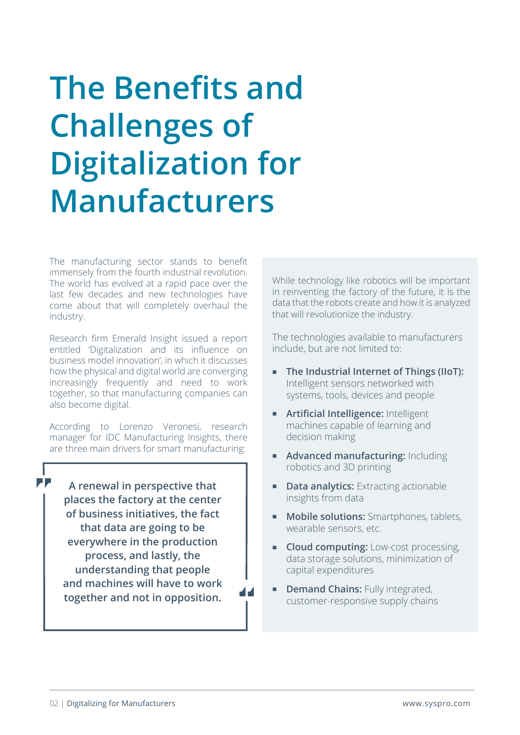### **The Benefits and Challenges of Digitalization for Manufacturers**

The manufacturing sector stands to benefit immensely from the fourth industrial revolution. The world has evolved at a rapid pace over the last few decades and new technologies have come about that will completely overhaul the industry.

Research firm Emerald Insight issued a report entitled 'Digitalization and its influence on business model innovation', in which it discusses how the physical and digital world are converging increasingly frequently and need to work together, so that manufacturing companies can also become digital.

According to Lorenzo Veronesi, research manager for IDC Manufacturing Insights, there are three main drivers for smart manufacturing:

**A renewal in perspective that places the factory at the center of business initiatives, the fact that data are going to be everywhere in the production process, and lastly, the understanding that people and machines will have to work together and not in opposition.**

While technology like robotics will be important in reinventing the factory of the future, it is the data that the robots create and how it is analyzed that will revolutionize the industry.

The technologies available to manufacturers include, but are not limited to:

- **The Industrial Internet of Things (IIoT):**  Intelligent sensors networked with systems, tools, devices and people
- **Artificial Intelligence:** Intelligent machines capable of learning and decision making
- **Advanced manufacturing: Including** robotics and 3D printing
- **Data analytics:** Extracting actionable insights from data
- **Mobile solutions:** Smartphones, tablets, wearable sensors, etc.
- **Cloud computing:** Low-cost processing, data storage solutions, minimization of capital expenditures
- **PEDEMAND Chains:** Fully integrated, customer-responsive supply chains

**PP**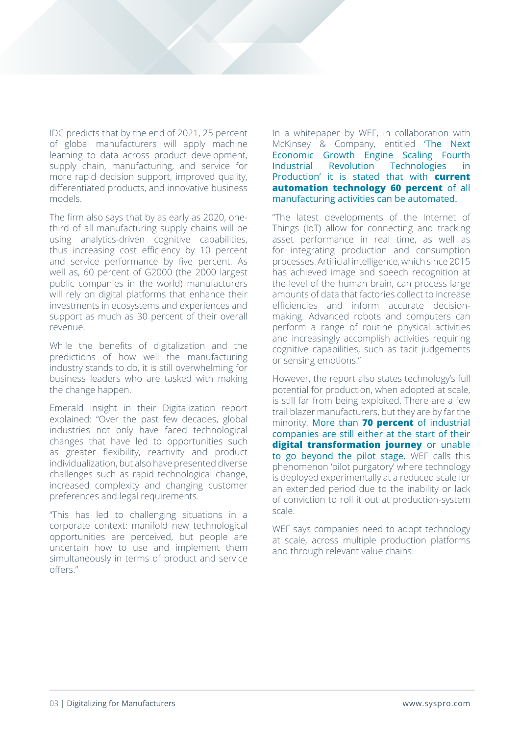IDC predicts that by the end of 2021, 25 percent of global manufacturers will apply machine learning to data across product development, supply chain, manufacturing, and service for more rapid decision support, improved quality, differentiated products, and innovative business models.

The firm also says that by as early as 2020, onethird of all manufacturing supply chains will be using analytics-driven cognitive capabilities, thus increasing cost efficiency by 10 percent and service performance by five percent. As well as, 60 percent of G2000 (the 2000 largest public companies in the world) manufacturers will rely on digital platforms that enhance their investments in ecosystems and experiences and support as much as 30 percent of their overall revenue.

While the benefits of digitalization and the predictions of how well the manufacturing industry stands to do, it is still overwhelming for business leaders who are tasked with making the change happen.

Emerald Insight in their Digitalization report explained: "Over the past few decades, global industries not only have faced technological changes that have led to opportunities such as greater flexibility, reactivity and product individualization, but also have presented diverse challenges such as rapid technological change, increased complexity and changing customer preferences and legal requirements.

"This has led to challenging situations in a corporate context: manifold new technological opportunities are perceived, but people are uncertain how to use and implement them simultaneously in terms of product and service offers."

In a whitepaper by WEF, in collaboration with McKinsey & Company, entitled 'The Next Economic Growth Engine Scaling Fourth Industrial Revolution Technologies in Production' it is stated that with **current automation technology 60 percent** of all manufacturing activities can be automated.

"The latest developments of the Internet of Things (IoT) allow for connecting and tracking asset performance in real time, as well as for integrating production and consumption processes. Artificial intelligence, which since 2015 has achieved image and speech recognition at the level of the human brain, can process large amounts of data that factories collect to increase efficiencies and inform accurate decisionmaking. Advanced robots and computers can perform a range of routine physical activities and increasingly accomplish activities requiring cognitive capabilities, such as tacit judgements or sensing emotions."

However, the report also states technology's full potential for production, when adopted at scale, is still far from being exploited. There are a few trail blazer manufacturers, but they are by far the minority. More than **70 percent** of industrial companies are still either at the start of their **digital transformation journey** or unable to go beyond the pilot stage. WEF calls this phenomenon 'pilot purgatory' where technology is deployed experimentally at a reduced scale for an extended period due to the inability or lack of conviction to roll it out at production-system scale.

WEF says companies need to adopt technology at scale, across multiple production platforms and through relevant value chains.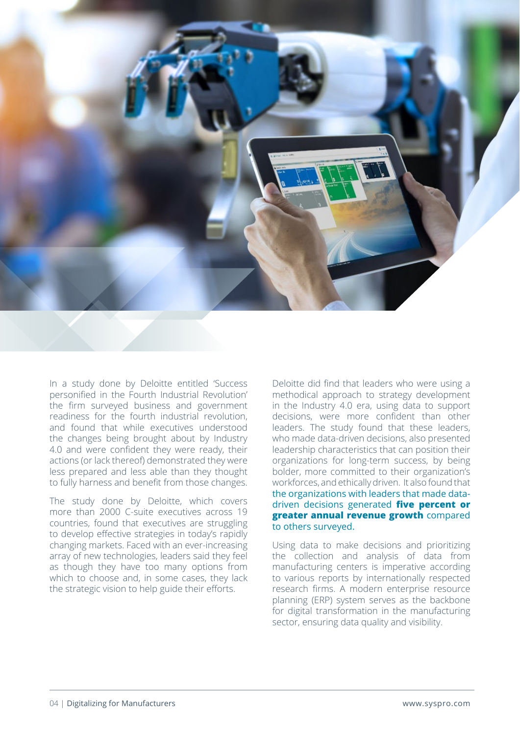

In a study done by Deloitte entitled 'Success personified in the Fourth Industrial Revolution' the firm surveyed business and government readiness for the fourth industrial revolution, and found that while executives understood the changes being brought about by Industry 4.0 and were confident they were ready, their actions (or lack thereof) demonstrated they were less prepared and less able than they thought to fully harness and benefit from those changes.

The study done by Deloitte, which covers more than 2000 C-suite executives across 19 countries, found that executives are struggling to develop effective strategies in today's rapidly changing markets. Faced with an ever-increasing array of new technologies, leaders said they feel as though they have too many options from which to choose and, in some cases, they lack the strategic vision to help guide their efforts.

Deloitte did find that leaders who were using a methodical approach to strategy development in the Industry 4.0 era, using data to support decisions, were more confident than other leaders. The study found that these leaders, who made data-driven decisions, also presented leadership characteristics that can position their organizations for long-term success, by being bolder, more committed to their organization's workforces, and ethically driven. It also found that the organizations with leaders that made datadriven decisions generated **five percent or greater annual revenue growth** compared to others surveyed.

Using data to make decisions and prioritizing the collection and analysis of data from manufacturing centers is imperative according to various reports by internationally respected research firms. A modern enterprise resource planning (ERP) system serves as the backbone for digital transformation in the manufacturing sector, ensuring data quality and visibility.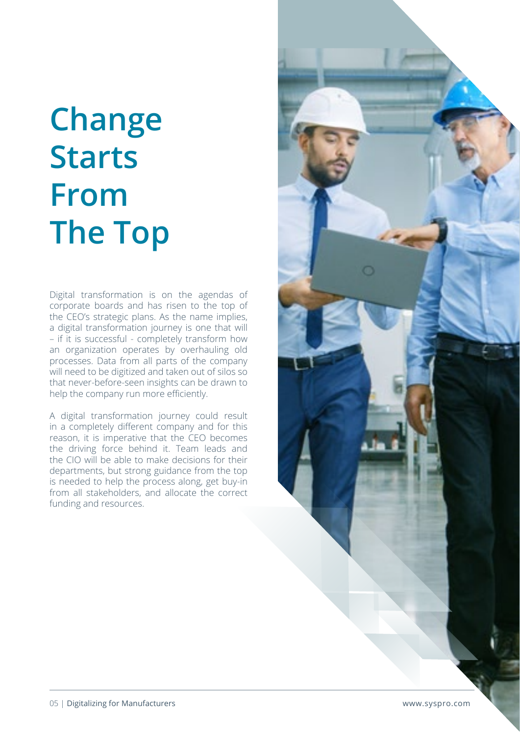## **Change Starts From The Top**

Digital transformation is on the agendas of corporate boards and has risen to the top of the CEO's strategic plans. As the name implies, a digital transformation journey is one that will – if it is successful - completely transform how an organization operates by overhauling old processes. Data from all parts of the company will need to be digitized and taken out of silos so that never-before-seen insights can be drawn to help the company run more efficiently.

A digital transformation journey could result in a completely different company and for this reason, it is imperative that the CEO becomes the driving force behind it. Team leads and the CIO will be able to make decisions for their departments, but strong guidance from the top is needed to help the process along, get buy-in from all stakeholders, and allocate the correct funding and resources.

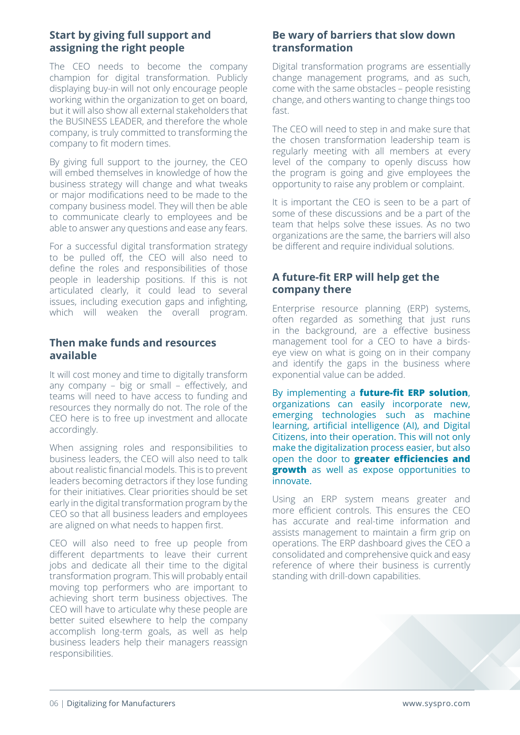### **Start by giving full support and assigning the right people**

The CEO needs to become the company champion for digital transformation. Publicly displaying buy-in will not only encourage people working within the organization to get on board, but it will also show all external stakeholders that the BUSINESS LEADER, and therefore the whole company, is truly committed to transforming the company to fit modern times.

By giving full support to the journey, the CEO will embed themselves in knowledge of how the business strategy will change and what tweaks or major modifications need to be made to the company business model. They will then be able to communicate clearly to employees and be able to answer any questions and ease any fears.

For a successful digital transformation strategy to be pulled off, the CEO will also need to define the roles and responsibilities of those people in leadership positions. If this is not articulated clearly, it could lead to several issues, including execution gaps and infighting, which will weaken the overall program.

#### **Then make funds and resources available**

It will cost money and time to digitally transform any company – big or small – effectively, and teams will need to have access to funding and resources they normally do not. The role of the CEO here is to free up investment and allocate accordingly.

When assigning roles and responsibilities to business leaders, the CEO will also need to talk about realistic financial models. This is to prevent leaders becoming detractors if they lose funding for their initiatives. Clear priorities should be set early in the digital transformation program by the CEO so that all business leaders and employees are aligned on what needs to happen first.

CEO will also need to free up people from different departments to leave their current jobs and dedicate all their time to the digital transformation program. This will probably entail moving top performers who are important to achieving short term business objectives. The CEO will have to articulate why these people are better suited elsewhere to help the company accomplish long-term goals, as well as help business leaders help their managers reassign responsibilities.

#### **Be wary of barriers that slow down transformation**

Digital transformation programs are essentially change management programs, and as such, come with the same obstacles – people resisting change, and others wanting to change things too fast.

The CEO will need to step in and make sure that the chosen transformation leadership team is regularly meeting with all members at every level of the company to openly discuss how the program is going and give employees the opportunity to raise any problem or complaint.

It is important the CEO is seen to be a part of some of these discussions and be a part of the team that helps solve these issues. As no two organizations are the same, the barriers will also be different and require individual solutions.

### **A future-fit ERP will help get the company there**

Enterprise resource planning (ERP) systems, often regarded as something that just runs in the background, are a effective business management tool for a CEO to have a birdseye view on what is going on in their company and identify the gaps in the business where exponential value can be added.

By implementing a **future-fit ERP solution**, organizations can easily incorporate new, emerging technologies such as machine learning, artificial intelligence (AI), and Digital Citizens, into their operation. This will not only make the digitalization process easier, but also open the door to **greater efficiencies and growth** as well as expose opportunities to innovate.

Using an ERP system means greater and more efficient controls. This ensures the CEO has accurate and real-time information and assists management to maintain a firm grip on operations. The ERP dashboard gives the CEO a consolidated and comprehensive quick and easy reference of where their business is currently standing with drill-down capabilities.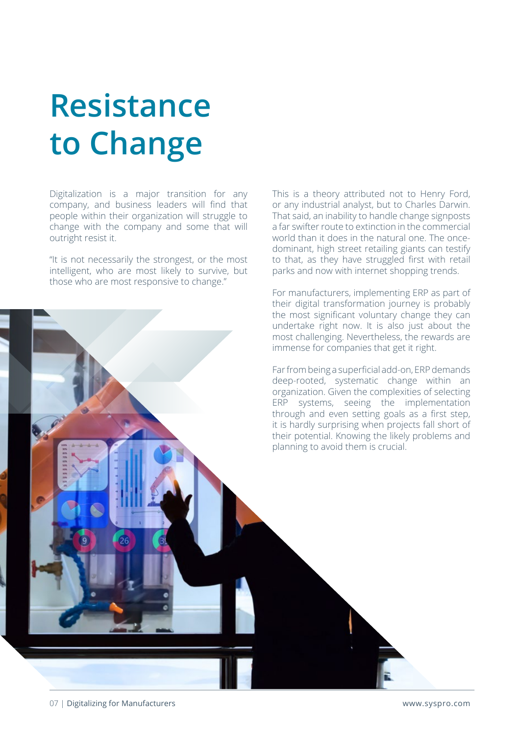## **Resistance to Change**

Digitalization is a major transition for any company, and business leaders will find that people within their organization will struggle to change with the company and some that will outright resist it.

"It is not necessarily the strongest, or the most intelligent, who are most likely to survive, but those who are most responsive to change."

This is a theory attributed not to Henry Ford, or any industrial analyst, but to Charles Darwin. That said, an inability to handle change signposts a far swifter route to extinction in the commercial world than it does in the natural one. The oncedominant, high street retailing giants can testify to that, as they have struggled first with retail parks and now with internet shopping trends.

For manufacturers, implementing ERP as part of their digital transformation journey is probably the most significant voluntary change they can undertake right now. It is also just about the most challenging. Nevertheless, the rewards are immense for companies that get it right.

Far from being a superficial add-on, ERP demands deep-rooted, systematic change within an organization. Given the complexities of selecting ERP systems, seeing the implementation through and even setting goals as a first step, it is hardly surprising when projects fall short of their potential. Knowing the likely problems and planning to avoid them is crucial.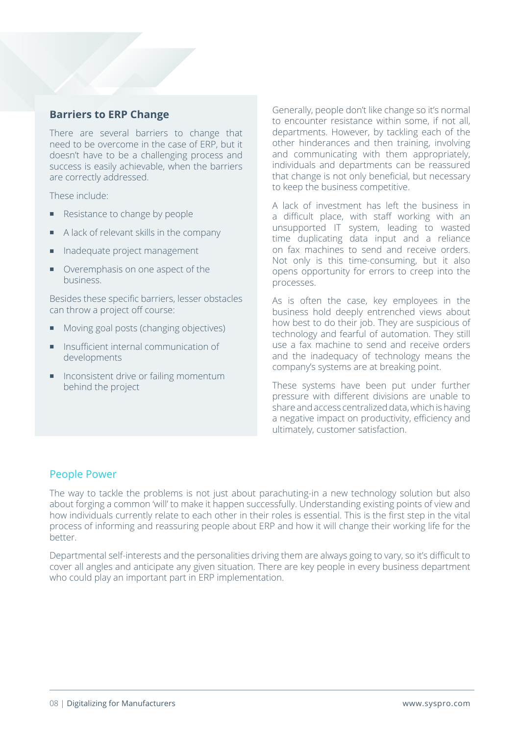### **Barriers to ERP Change**

There are several barriers to change that need to be overcome in the case of ERP, but it doesn't have to be a challenging process and success is easily achievable, when the barriers are correctly addressed.

These include:

- Resistance to change by people
- A lack of relevant skills in the company
- Inadequate project management
- Overemphasis on one aspect of the business.

Besides these specific barriers, lesser obstacles can throw a project off course:

- Moving goal posts (changing objectives)
- Insufficient internal communication of developments
- Inconsistent drive or failing momentum behind the project

Generally, people don't like change so it's normal to encounter resistance within some, if not all, departments. However, by tackling each of the other hinderances and then training, involving and communicating with them appropriately, individuals and departments can be reassured that change is not only beneficial, but necessary to keep the business competitive.

A lack of investment has left the business in a difficult place, with staff working with an unsupported IT system, leading to wasted time duplicating data input and a reliance on fax machines to send and receive orders. Not only is this time-consuming, but it also opens opportunity for errors to creep into the processes.

As is often the case, key employees in the business hold deeply entrenched views about how best to do their job. They are suspicious of technology and fearful of automation. They still use a fax machine to send and receive orders and the inadequacy of technology means the company's systems are at breaking point.

These systems have been put under further pressure with different divisions are unable to share and access centralized data, which is having a negative impact on productivity, efficiency and ultimately, customer satisfaction.

#### People Power

The way to tackle the problems is not just about parachuting-in a new technology solution but also about forging a common 'will' to make it happen successfully. Understanding existing points of view and how individuals currently relate to each other in their roles is essential. This is the first step in the vital process of informing and reassuring people about ERP and how it will change their working life for the better.

Departmental self-interests and the personalities driving them are always going to vary, so it's difficult to cover all angles and anticipate any given situation. There are key people in every business department who could play an important part in ERP implementation.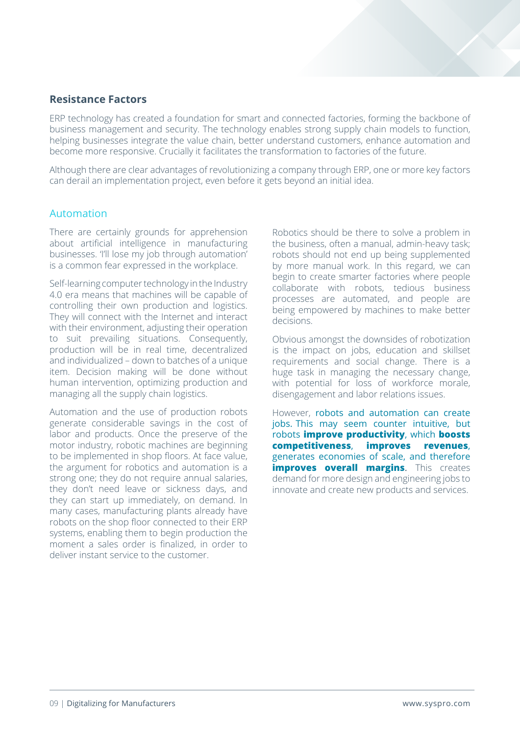### **Resistance Factors**

ERP technology has created a foundation for smart and connected factories, forming the backbone of business management and security. The technology enables strong supply chain models to function, helping businesses integrate the value chain, better understand customers, enhance automation and become more responsive. Crucially it facilitates the transformation to factories of the future.

Although there are clear advantages of revolutionizing a company through ERP, one or more key factors can derail an implementation project, even before it gets beyond an initial idea.

#### Automation

There are certainly grounds for apprehension about artificial intelligence in manufacturing businesses. 'I'll lose my job through automation' is a common fear expressed in the workplace.

Self-learning computer technology in the Industry 4.0 era means that machines will be capable of controlling their own production and logistics. They will connect with the Internet and interact with their environment, adjusting their operation to suit prevailing situations. Consequently, production will be in real time, decentralized and individualized – down to batches of a unique item. Decision making will be done without human intervention, optimizing production and managing all the supply chain logistics.

Automation and the use of production robots generate considerable savings in the cost of labor and products. Once the preserve of the motor industry, robotic machines are beginning to be implemented in shop floors. At face value, the argument for robotics and automation is a strong one; they do not require annual salaries, they don't need leave or sickness days, and they can start up immediately, on demand. In many cases, manufacturing plants already have robots on the shop floor connected to their ERP systems, enabling them to begin production the moment a sales order is finalized, in order to deliver instant service to the customer.

Robotics should be there to solve a problem in the business, often a manual, admin-heavy task; robots should not end up being supplemented by more manual work. In this regard, we can begin to create smarter factories where people collaborate with robots, tedious business processes are automated, and people are being empowered by machines to make better decisions.

Obvious amongst the downsides of robotization is the impact on jobs, education and skillset requirements and social change. There is a huge task in managing the necessary change, with potential for loss of workforce morale, disengagement and labor relations issues.

However, robots and automation can create jobs. This may seem counter intuitive, but robots **improve productivity**, which **boosts competitiveness**, **improves revenues**, generates economies of scale, and therefore **improves overall margins.** This creates demand for more design and engineering jobs to innovate and create new products and services.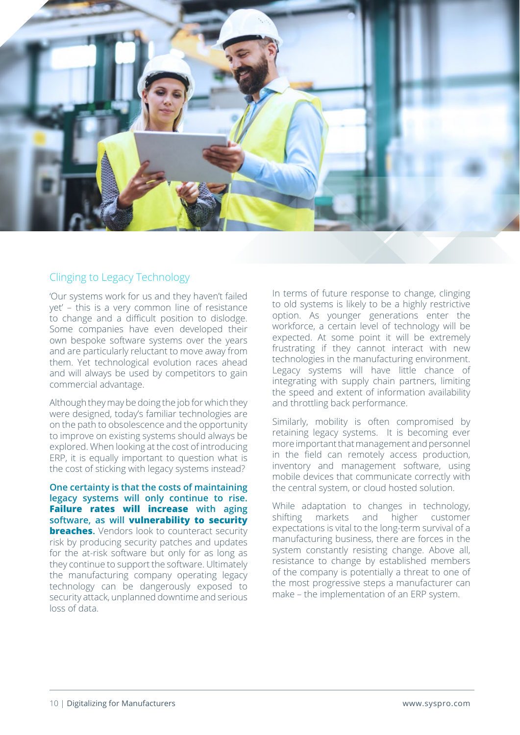

### Clinging to Legacy Technology

'Our systems work for us and they haven't failed yet' – this is a very common line of resistance to change and a difficult position to dislodge. Some companies have even developed their own bespoke software systems over the years and are particularly reluctant to move away from them. Yet technological evolution races ahead and will always be used by competitors to gain commercial advantage.

Although they may be doing the job for which they were designed, today's familiar technologies are on the path to obsolescence and the opportunity to improve on existing systems should always be explored. When looking at the cost of introducing ERP, it is equally important to question what is the cost of sticking with legacy systems instead?

**One certainty is that the costs of maintaining legacy systems will only continue to rise. Failure rates will increase with aging software, as will vulnerability to security breaches.** Vendors look to counteract security risk by producing security patches and updates for the at-risk software but only for as long as they continue to support the software. Ultimately the manufacturing company operating legacy technology can be dangerously exposed to security attack, unplanned downtime and serious loss of data.

In terms of future response to change, clinging to old systems is likely to be a highly restrictive option. As younger generations enter the workforce, a certain level of technology will be expected. At some point it will be extremely frustrating if they cannot interact with new technologies in the manufacturing environment. Legacy systems will have little chance of integrating with supply chain partners, limiting the speed and extent of information availability and throttling back performance.

Similarly, mobility is often compromised by retaining legacy systems. It is becoming ever more important that management and personnel in the field can remotely access production, inventory and management software, using mobile devices that communicate correctly with the central system, or cloud hosted solution.

While adaptation to changes in technology, shifting markets and higher customer expectations is vital to the long-term survival of a manufacturing business, there are forces in the system constantly resisting change. Above all, resistance to change by established members of the company is potentially a threat to one of the most progressive steps a manufacturer can make – the implementation of an ERP system.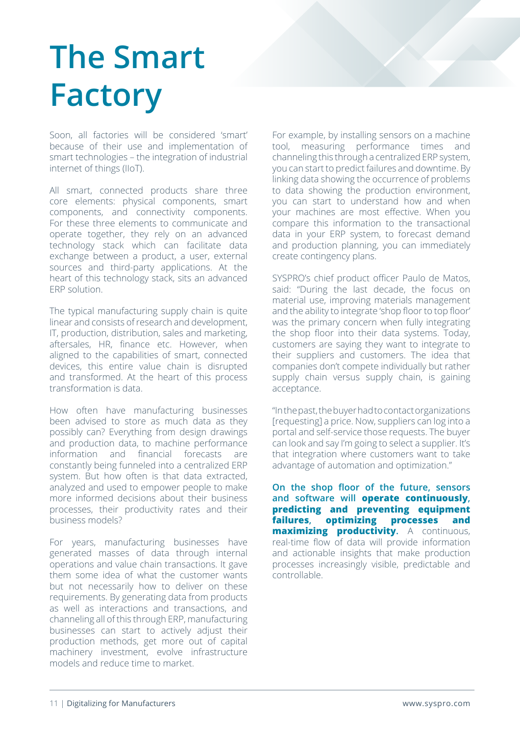# **The Smart Factory**

Soon, all factories will be considered 'smart' because of their use and implementation of smart technologies – the integration of industrial internet of things (IIoT).

All smart, connected products share three core elements: physical components, smart components, and connectivity components. For these three elements to communicate and operate together, they rely on an advanced technology stack which can facilitate data exchange between a product, a user, external sources and third-party applications. At the heart of this technology stack, sits an advanced ERP solution.

The typical manufacturing supply chain is quite linear and consists of research and development, IT, production, distribution, sales and marketing, aftersales, HR, finance etc. However, when aligned to the capabilities of smart, connected devices, this entire value chain is disrupted and transformed. At the heart of this process transformation is data.

How often have manufacturing businesses been advised to store as much data as they possibly can? Everything from design drawings and production data, to machine performance information and financial forecasts are constantly being funneled into a centralized ERP system. But how often is that data extracted, analyzed and used to empower people to make more informed decisions about their business processes, their productivity rates and their business models?

For years, manufacturing businesses have generated masses of data through internal operations and value chain transactions. It gave them some idea of what the customer wants but not necessarily how to deliver on these requirements. By generating data from products as well as interactions and transactions, and channeling all of this through ERP, manufacturing businesses can start to actively adjust their production methods, get more out of capital machinery investment, evolve infrastructure models and reduce time to market.

For example, by installing sensors on a machine tool, measuring performance times and channeling this through a centralized ERP system, you can start to predict failures and downtime. By linking data showing the occurrence of problems to data showing the production environment, you can start to understand how and when your machines are most effective. When you compare this information to the transactional data in your ERP system, to forecast demand and production planning, you can immediately create contingency plans.

SYSPRO's chief product officer Paulo de Matos, said: "During the last decade, the focus on material use, improving materials management and the ability to integrate 'shop floor to top floor' was the primary concern when fully integrating the shop floor into their data systems. Today, customers are saying they want to integrate to their suppliers and customers. The idea that companies don't compete individually but rather supply chain versus supply chain, is gaining acceptance.

"In the past, the buyer had to contact organizations [requesting] a price. Now, suppliers can log into a portal and self-service those requests. The buyer can look and say I'm going to select a supplier. It's that integration where customers want to take advantage of automation and optimization."

**On the shop floor of the future, sensors and software will operate continuously, predicting and preventing equipment failures, optimizing processes and maximizing productivity.** A continuous, real-time flow of data will provide information and actionable insights that make production processes increasingly visible, predictable and controllable.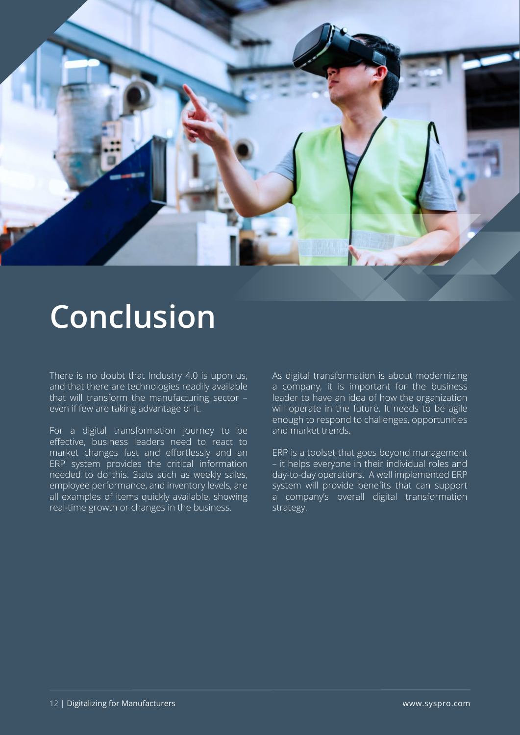

### **Conclusion**

There is no doubt that Industry 4.0 is upon us, and that there are technologies readily available that will transform the manufacturing sector – even if few are taking advantage of it.

For a digital transformation journey to be effective, business leaders need to react to market changes fast and effortlessly and an ERP system provides the critical information needed to do this. Stats such as weekly sales, employee performance, and inventory levels, are all examples of items quickly available, showing real-time growth or changes in the business.

As digital transformation is about modernizing a company, it is important for the business leader to have an idea of how the organization will operate in the future. It needs to be agile enough to respond to challenges, opportunities and market trends.

ERP is a toolset that goes beyond management – it helps everyone in their individual roles and day-to-day operations. A well implemented ERP system will provide benefits that can support a company's overall digital transformation strategy.